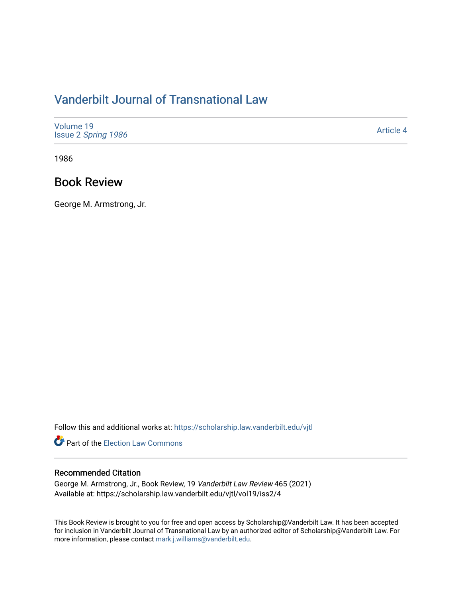## [Vanderbilt Journal of Transnational Law](https://scholarship.law.vanderbilt.edu/vjtl)

| Volume 19<br>Issue 2 Spring 1986 | <b>Article 4</b> |
|----------------------------------|------------------|
|----------------------------------|------------------|

1986

## Book Review

George M. Armstrong, Jr.

Follow this and additional works at: [https://scholarship.law.vanderbilt.edu/vjtl](https://scholarship.law.vanderbilt.edu/vjtl?utm_source=scholarship.law.vanderbilt.edu%2Fvjtl%2Fvol19%2Fiss2%2F4&utm_medium=PDF&utm_campaign=PDFCoverPages) 

**Part of the [Election Law Commons](http://network.bepress.com/hgg/discipline/1121?utm_source=scholarship.law.vanderbilt.edu%2Fvjtl%2Fvol19%2Fiss2%2F4&utm_medium=PDF&utm_campaign=PDFCoverPages)** 

## Recommended Citation

George M. Armstrong, Jr., Book Review, 19 Vanderbilt Law Review 465 (2021) Available at: https://scholarship.law.vanderbilt.edu/vjtl/vol19/iss2/4

This Book Review is brought to you for free and open access by Scholarship@Vanderbilt Law. It has been accepted for inclusion in Vanderbilt Journal of Transnational Law by an authorized editor of Scholarship@Vanderbilt Law. For more information, please contact [mark.j.williams@vanderbilt.edu](mailto:mark.j.williams@vanderbilt.edu).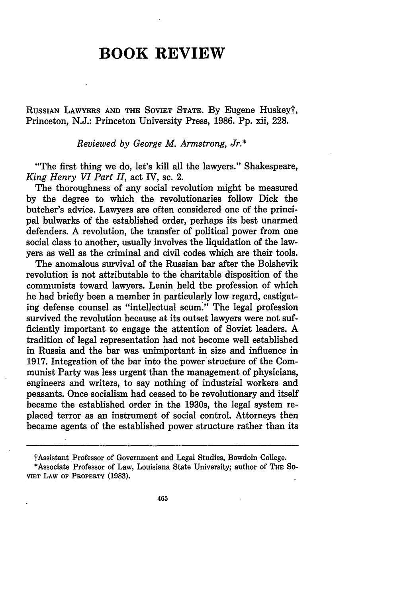## **BOOK REVIEW**

RUSSIAN LAWYERS **AND** THE SOVIET **STATE. By** Eugene Huskeyt, Princeton, **N.J.:** Princeton University Press, **1986. Pp.** xii, **228.**

*Reviewed by George M. Armstrong, Jr.\**

"The **first** thing we do, let's kill all the lawyers." Shakespeare, *King Henry VI Part II,* act IV, sc. 2.

The thoroughness of any social revolution might be measured **by** the degree to which the revolutionaries follow Dick the butcher's advice. Lawyers are often considered one of the principal bulwarks of the established order, perhaps its best unarmed defenders. **A** revolution, the transfer of political power from one social class to another, usually involves the liquidation of the lawyers as Well as the criminal and civil codes which are their tools.

The anomalous survival of the Russian bar after the Bolshevik revolution is not attributable to the charitable disposition of the communists toward lawyers. Lenin held the profession of which he had briefly been a member in particularly low regard, castigating defense counsel as "intellectual scum." The legal profession survived the revolution because at its outset lawyers were not sufficiently important to engage the attention of Soviet leaders. **A** tradition of legal representation had not become well established in Russia and the bar was unimportant in size and influence in **1917.** Integration of the bar into the power structure of the Communist Party was less urgent than the management of physicians, engineers and writers, to say nothing of industrial workers and peasants. Once socialism had ceased to be revolutionary and itself became the established order in the 1930s, the legal system replaced terror as an instrument of social control. Attorneys then became agents of the established power structure rather than its

tAssistant Professor of Government and Legal Studies, Bowdoin College.

<sup>\*</sup>Associate Professor of Law, Louisiana State University; author **of THE SO-VIET LAW OF PROPERTY (1983).**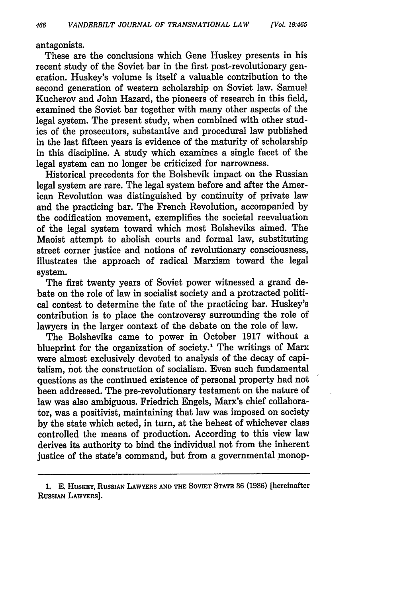antagonists.

These are the conclusions which Gene Huskey presents in his recent study of the Soviet bar in the first post-revolutionary generation. Huskey's volume is itself a valuable contribution to the second generation of western scholarship on Soviet law. Samuel Kucherov and John Hazard, the pioneers of research in this field, examined the Soviet bar together with many other aspects of the legal system. The present study, when combined with other studies of the prosecutors, substantive and procedural law published in the last fifteen years is evidence of the maturity of scholarship in this discipline. A study which examines a single facet of the legal system can no longer be criticized for narrowness.

Historical precedents for the Bolshevik impact on the Russian legal system are rare. The legal system before and after the American Revolution was distinguished by continuity of private law and the practicing bar. The French Revolution, accompanied by the codification movement, exemplifies the societal reevaluation of the legal system toward which most Bolsheviks aimed. The Maoist attempt to abolish courts and formal law, substituting street corner justice and notions of revolutionary consciousness, illustrates the approach of radical Marxism toward the legal system.

The first twenty years of Soviet power witnessed a grand debate on the role of law in socialist society and a protracted political contest to determine the fate of the practicing bar. Huskey's contribution is to place the controversy surrounding the role of lawyers in the larger context of the debate on the role of law.

The Bolsheviks came to power in October 1917 without a blueprint for the organization of society.<sup>1</sup> The writings of Marx were almost exclusively devoted to analysis of the decay of capitalism, not the construction of socialism. Even such fundamental questions as the continued existence of personal property had not been addressed. The pre-revolutionary testament on the nature of law was also ambiguous. Friedrich Engels, Marx's chief collaborator, was a positivist, maintaining that law was imposed on society by the state which acted, in turn, at the behest of whichever class controlled the means of production. According to this view law derives its authority to bind the individual not from the inherent justice of the state's command, but from a governmental monop-

**<sup>1.</sup> E.** HusKEY, **RUSSIAN LAWYERS AND THE SOVIET STATE 36 (1986)** [hereinafter RUSSIAN LAWYERS].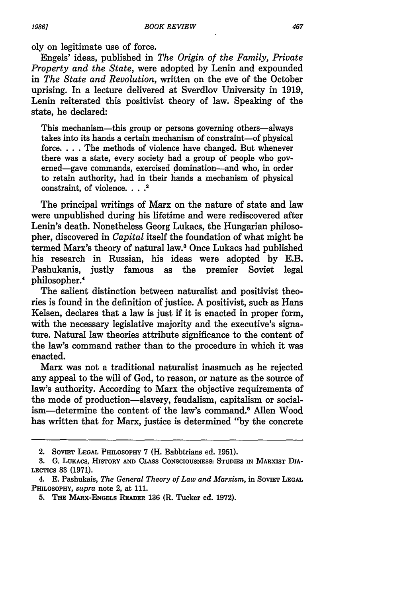oly on legitimate use of force.

Engels' ideas, published in *The Origin of the Family, Private Property and the State,* were adopted by Lenin and expounded in *The State and Revolution,* written on the eve of the October uprising. In a lecture delivered at Sverdlov University in 1919, Lenin reiterated this positivist theory of law. Speaking of the state, he declared:

This mechanism—this group or persons governing others—always takes into its hands a certain mechanism of constraint-of physical force **....** The methods of violence have changed. But whenever there was a state, every society had a group of people who governed-gave commands, exercised domination-and who, in order to retain authority, had in their hands a mechanism of physical constraint, of violence. **...'**

The principal writings of Marx on the nature of state and law were unpublished during his lifetime and were rediscovered after Lenin's death. Nonetheless Georg Lukacs, the Hungarian philosopher, discovered in *Capital* itself the foundation of what might be termed Marx's theory of natural law.3 Once Lukacs had published his research in Russian, his ideas were adopted by E.B. Pashukanis, justly famous as the premier Soviet legal philosopher.4

The salient distinction between naturalist and positivist theories is found in the definition of justice. A positivist, such as Hans Kelsen, declares that a law is just if it is enacted in proper form, with the necessary legislative majority and the executive's signature. Natural law theories attribute significance to the content of the law's command rather than to the procedure in which it was enacted.

Marx was not a traditional naturalist inasmuch as he rejected any appeal to the will of God, to reason, or nature as the source of law's authority. According to Marx the objective requirements of the mode of production-slavery, feudalism, capitalism or socialism—determine the content of the law's command.<sup>5</sup> Allen Wood has written that for Marx, justice is determined "by the concrete

<sup>2.</sup> SOVIET LEGAL PHILOSOPHY 7 (H. Babbtrians ed. 1951).

**<sup>3.</sup> G.** LuKAcs, **HISTORY AND CLASS CONSCIOUSNESS: STUDIES IN MARXIST DIA-LECTICS 83 (1971).**

<sup>4.</sup> E. Pashukais, *The General Theory of Law and Marxism*, in SovIET LEGAL PHILOSOPHY, *supra* note 2, at 111.

<sup>5.</sup> **THE MARX-ENGELS READER** 136 (R. Tucker ed. 1972).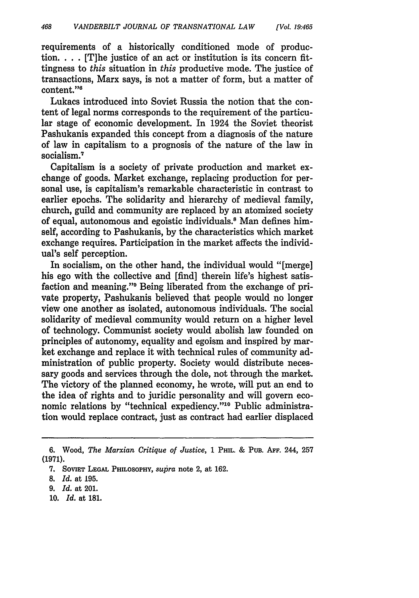requirements of a historically conditioned mode of production. . **.** . [T]he justice of an act or institution is its concern fittingness to *this* situation in *this* productive mode. The justice of transactions, Marx says, is not a matter of form, but a matter of content."6

Lukacs introduced into Soviet Russia the notion that the content of legal norms corresponds to the requirement of the particular stage of economic development. In 1924 the Soviet theorist Pashukanis expanded this concept from a diagnosis of the nature of law in capitalism to a prognosis of the nature of the law in socialism.<sup>7</sup>

Capitalism is a society of private production and market exchange of goods. Market exchange, replacing production for personal use, is capitalism's remarkable characteristic in contrast to earlier epochs. The solidarity and hierarchy of medieval family, church, guild and community are replaced **by** an atomized society of equal, autonomous and egoistic individuals.8 Man defines himself, according to Pashukanis, **by** the characteristics which market exchange requires. Participation in the market affects the individual's self perception.

In socialism, on the other hand, the individual would "[merge] his ego with the collective and [find] therein life's highest satisfaction and meaning." Being liberated from the exchange of private property, Pashukanis believed that people would no longer view one another as isolated, autonomous individuals. The social solidarity of medieval community would return on a higher level of technology. Communist society would abolish law founded on principles of autonomy, equality and egoism and inspired **by** market exchange and replace it with technical rules of community administration of public property. Society would distribute necessary goods and services through the dole, not through the market. The victory of the planned economy, he wrote, will put an end to the idea of rights and to juridic personality and will govern economic relations by "technical expediency."<sup>10</sup> Public administration would replace contract, just as contract had earlier displaced

10. *Id.* at 181.

**<sup>6.</sup>** Wood, *The Marxian Critique of Justice,* **1 PHIL. & PUB. AFF.** 244, **257 (1971).**

<sup>7.</sup> **SovIET LEGAL PHILOSOPHY,** *supra* note 2, at 162.

<sup>8.</sup> *Id.* at 195.

<sup>9.</sup> *Id.* at 201.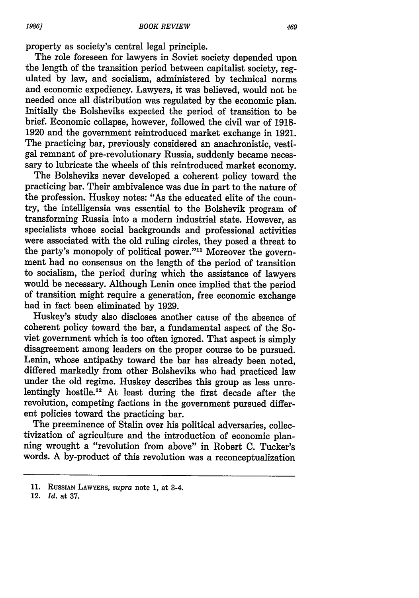property as society's central legal principle.

The role foreseen for lawyers in Soviet society depended upon the length of the transition period between capitalist society, regulated by law, and socialism, administered by technical norms and economic expediency. Lawyers, it was believed, would not be needed once all distribution was regulated by the economic plan. Initially the Bolsheviks expected the period of transition to **be** brief. Economic collapse, however, followed the civil war of **1918- 1920** and the government reintroduced market exchange in **1921.** The practicing bar, previously considered an anachronistic, vestigal remnant of pre-revolutionary Russia, suddenly became necessary to lubricate the wheels of this reintroduced market economy.

The Bolsheviks never developed a coherent policy toward the practicing bar. Their ambivalence was due in part to the nature of the profession. Huskey notes: "As the educated elite of the country, the intelligensia was essential to the Bolshevik program of transforming Russia into a modern industrial state. However, as specialists whose social backgrounds and professional activities were associated with the old ruling circles, they posed a threat to the party's monopoly of political power."" Moreover the government had no consensus on the length of the period of transition to socialism, the period during which the assistance of lawyers would be necessary. Although Lenin once implied that the period of transition might require a generation, free economic exchange had in fact been eliminated **by 1929.**

Huskey's study also discloses another cause of the absence of coherent policy toward the bar, a fundamental aspect of the Soviet government which is too often ignored. That aspect is simply disagreement among leaders on the proper course to be pursued. Lenin, whose antipathy toward the bar has already been noted, differed markedly from other Bolsheviks who had practiced law under the old regime. Huskey describes this group as less unrelentingly hostile.<sup>12</sup> At least during the first decade after the revolution, competing factions in the government pursued different policies toward the practicing bar.

The preeminence of Stalin over his political adversaries, collectivization of agriculture and the introduction of economic planning wrought a "revolution from above" in Robert **C.** Tucker's words. A by-product of this revolution was a reconceptualization

12. *Id.* at **37.**

**<sup>11.</sup> RUSSIAN** LAWYERS, *supra* note **1,** at 3-4.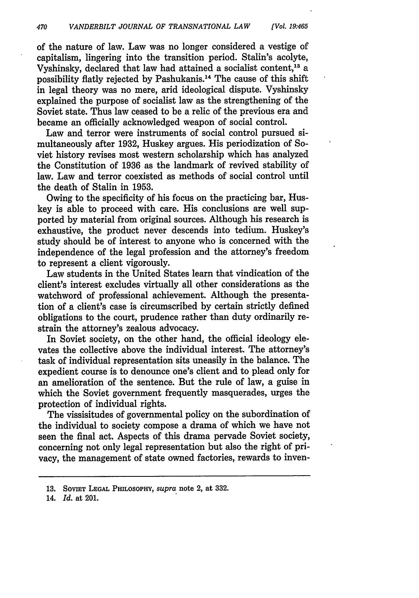of the nature of law. Law was no longer considered a vestige of capitalism, lingering into the transition period. Stalin's acolyte, Vyshinsky, declared that law had attained a socialist content,13 a possibility flatly rejected by Pashukanis. 14 The cause of this shift in legal theory was no mere, arid ideological dispute. Vyshinsky explained the purpose of socialist law as the strengthening of the Soviet state. Thus law ceased to be a relic of the previous era and became an officially acknowledged weapon of social control.

*[Vol. 19.465*

Law and terror were instruments of social control pursued simultaneously after 1932, Huskey argues. His periodization of Soviet history revises most western scholarship which has analyzed the Constitution of 1936 as the landmark of revived stability of law. Law and terror coexisted as methods of social control until the death of Stalin in 1953.

Owing to the specificity of his focus on the practicing bar, Huskey is able to proceed with care. His conclusions are well supported by material from original sources. Although his research is exhaustive, the product never descends into tedium. Huskey's study should be of interest to anyone who is concerned with the independence of the legal profession and the attorney's freedom to represent a client vigorously.

Law students in the United States learn that vindication of the client's interest excludes virtually all other considerations as the watchword of professional achievement. Although the presentation of a client's case is circumscribed by certain strictly defined obligations to the court, prudence rather than duty ordinarily restrain the attorney's zealous advocacy.

In Soviet society, on the other hand, the official ideology elevates the collective above the individual interest. The attorney's task of individual representation sits uneasily in the balance. The expedient course is to denounce one's client and to plead only for an amelioration of the sentence. But the rule of law, a guise in which the Soviet government frequently masquerades, urges the protection of individual rights.

The vissisitudes of governmental policy on the subordination of the individual to society compose a drama of which we have not seen the final act. Aspects of this drama pervade Soviet society, concerning not only legal representation but also the right of privacy, the management of state owned factories, rewards to inven-

14. *Id.* at 201.

**<sup>13.</sup>** SOVIET **LEGAL PHILOSOPHY,** *supra* note 2, at **332.**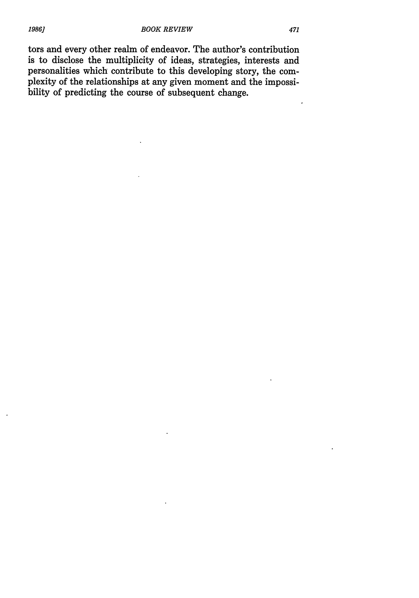tors and every other realm of endeavor. The author's contribution is to disclose the multiplicity of ideas, strategies, interests and personalities which contribute to this developing story, the complexity of the relationships at any given moment and the impossibility of predicting the course of subsequent change.